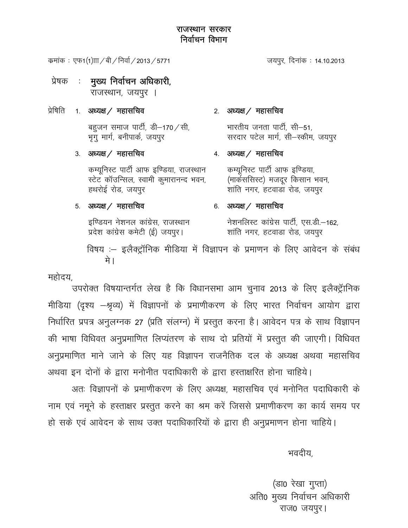कमांक : एफ1(1) $\text{m}$  / बी / निर्वा / 2013 / 5771

- मुख्य निर्वाचन अधिकारी, प्रेषक  $\sim 1$ राजस्थान, जयपुर ।
- प्रेषिति 1. अध्यक्ष / महासचिव

बहुजन समाज पार्टी, डी $-$ 170  $\diagup$ सी, भूगु मार्ग, बनीपार्क, जयपुर

3. अध्यक्ष / महासचिव

कम्युनिस्ट पार्टी आफ इण्डिया, राजस्थान स्टेट कॉउन्सिल, स्वामी कुमारानन्द भवन, हथरोई रोड, जयपुर

#### 2. अध्यक्ष / महासचिव

भारतीय जनता पार्टी, सी—51, सरदार पटेल मार्ग, सी-स्कीम, जयपुर

जयपुर, दिनांक : 14.10.2013

## 4. अध्यक्ष / महासचिव

कम्यूनिस्ट पार्टी आफ इण्डिया, (मार्कससिस्ट) मजदूर किसान भवन, शांति नगर, हटवाडा रोड, जयपुर

### 5. अध्यक्ष  $/$  महासचिव

इण्डियन नेशनल कांग्रेस, राजस्थान प्रदेश कांग्रेस कमेटी (ई) जयपुर।

### 6. अध्यक्ष / महासचिव

नेशनलिस्ट कांग्रेस पार्टी, एस.डी.–162, शांति नगर, हटवाडा रोड, जयपुर

विषय :- इलैक्ट्रॉनिक मीडिया में विज्ञापन के प्रमाणन के लिए आवेदन के संबंध मे ।

महोदय,

उपरोक्त विषयान्तर्गत लेख है कि विधानसभा आम चुनाव 2013 के लिए इलैक्ट्रॅानिक मीडिया (दृश्य –श्रृव्य) में विज्ञापनों के प्रमाणीकरण के लिए भारत निर्वाचन आयोग द्वारा निर्धारित प्रपत्र अनुलग्नक 27 (प्रति संलग्न) में प्रस्तुत करना है। आवेदन पत्र के साथ विज्ञापन की भाषा विधिवत अनुप्रमाणित लिप्यंतरण के साथ दो प्रतियों में प्रस्तुत की जाएगी। विधिवत अनुप्रमाणित माने जाने के लिए यह विज्ञापन राजनैतिक दल के अध्यक्ष अथवा महासचिव अथवा इन दोनों के द्वारा मनोनीत पदाधिकारी के द्वारा हस्ताक्षरित होना चाहिये।

अतः विज्ञापनों के प्रमाणीकरण के लिए अध्यक्ष, महासचिव एवं मनोनित पदाधिकारी के नाम एवं नमूने के हस्ताक्षर प्रस्तुत करने का श्रम करें जिससे प्रमाणीकरण का कार्य समय पर

हो सके एवं आवेदन के साथ उक्त पदाधिकारियों के द्वारा ही अनुप्रमाणन होना चाहिये।

भवदीय,

(डा0 रेखा गुप्ता) अति0 मुख्य निर्वाचन अधिकारी राज0 जयपूर।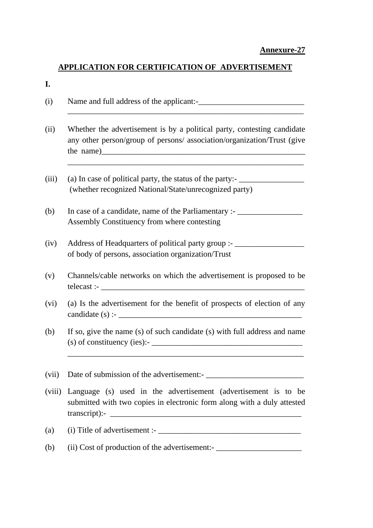## **Annexure-27**

## **APPLICATION FOR CERTIFICATION OF ADVERTISEMENT**

## **I.**

| (i)    |                                                                                                                                                    |
|--------|----------------------------------------------------------------------------------------------------------------------------------------------------|
| (ii)   | Whether the advertisement is by a political party, contesting candidate<br>any other person/group of persons/ association/organization/Trust (give |
| (iii)  | (a) In case of political party, the status of the party:-<br>(whether recognized National/State/unrecognized party)                                |
| (b)    | In case of a candidate, name of the Parliamentary :- ___________________________<br>Assembly Constituency from where contesting                    |
| (iv)   | Address of Headquarters of political party group :- _____________________________<br>of body of persons, association organization/Trust            |
| (v)    | Channels/cable networks on which the advertisement is proposed to be                                                                               |
| (vi)   | (a) Is the advertisement for the benefit of prospects of election of any<br>candidate (s) :- $\_\_\_\_\_\_\_\_\_\_$                                |
| (b)    | If so, give the name (s) of such candidate (s) with full address and name<br>$(s)$ of constituency (ies):- $\frac{1}{s}$                           |
| (vii)  |                                                                                                                                                    |
| (viii) | Language (s) used in the advertisement (advertisement is to be<br>submitted with two copies in electronic form along with a duly attested          |
| (a)    | $(i)$ Title of advertisement :- $\_$                                                                                                               |
| (b)    | (ii) Cost of production of the advertisement:-___________________________________                                                                  |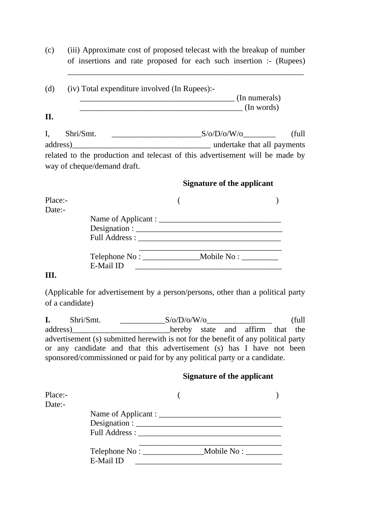(c) (iii) Approximate cost of proposed telecast with the breakup of number of insertions and rate proposed for each such insertion :- (Rupees)

\_\_\_\_\_\_\_\_\_\_\_\_\_\_\_\_\_\_\_\_\_\_\_\_\_\_\_\_\_\_\_\_\_\_\_\_\_\_\_\_\_\_\_\_\_\_\_\_\_\_\_\_\_\_\_\_\_\_

| (d)                         | (iv) Total expenditure involved (In Rupees):-                                                                                                                                                                                  | (In numerals)<br>$\int$ (In words) |  |
|-----------------------------|--------------------------------------------------------------------------------------------------------------------------------------------------------------------------------------------------------------------------------|------------------------------------|--|
| Η.                          |                                                                                                                                                                                                                                |                                    |  |
| I,<br>Shri/Smt.             |                                                                                                                                                                                                                                | (full)                             |  |
|                             | and the matrix and the matrix of the matrix of the matrix of the matrix of the matrix of the matrix of the matrix of the matrix of the matrix of the matrix of the matrix of the matrix of the matrix of the matrix of the mat |                                    |  |
| way of cheque/demand draft. | related to the production and telecast of this advertisement will be made by                                                                                                                                                   |                                    |  |
|                             |                                                                                                                                                                                                                                | Signature of the applicant         |  |
| Place:-                     |                                                                                                                                                                                                                                |                                    |  |
| Date:-                      |                                                                                                                                                                                                                                |                                    |  |
|                             |                                                                                                                                                                                                                                |                                    |  |
|                             | Designation:                                                                                                                                                                                                                   |                                    |  |

|     | Telephone No: | Mobile No: |
|-----|---------------|------------|
|     | E-Mail ID     |            |
| TTT |               |            |

Full Address : \_\_\_\_\_\_\_\_\_\_\_\_\_\_\_\_\_\_\_\_\_\_\_\_\_\_\_\_\_\_\_\_\_\_\_

#### **III.**

(Applicable for advertisement by a person/persons, other than a political party of a candidate)

**I.** Shri/Smt. \_\_\_\_\_\_\_\_\_\_\_S/o/D/o/W/o\_\_\_\_\_\_\_\_\_\_\_\_\_\_\_\_ (full address) and affirm that the hereby state and affirm that the advertisement (s) submitted herewith is not for the benefit of any political party or any candidate and that this advertisement (s) has I have not been sponsored/commissioned or paid for by any political party or a candidate.

#### **Signature of the applicant**

| Place:-<br>Date:- |                               |             |  |
|-------------------|-------------------------------|-------------|--|
|                   | Designation : $\qquad \qquad$ |             |  |
|                   | Full Address:                 |             |  |
|                   | E-Mail ID                     | Mobile No : |  |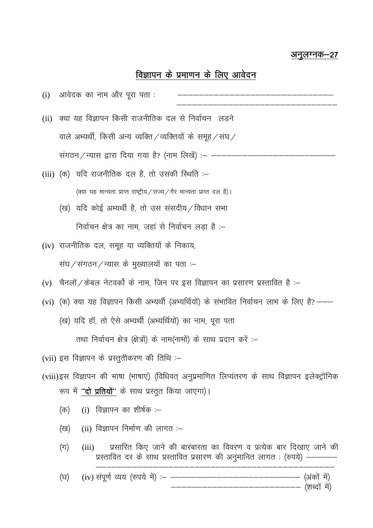## अनुलग्नक–27

# विज्ञापन के प्रमाणन के लिए आवेदन

| (i) | आवेदक का नाम और पूरा पता :                                                                                                                                            |
|-----|-----------------------------------------------------------------------------------------------------------------------------------------------------------------------|
|     | (ii) क्या यह विज्ञापन किसी राजनीतिक दल से निर्वाचन लड़ने                                                                                                              |
|     | वाले अभ्यर्थी, किसी अन्य व्यक्ति/व्यक्तियों के समूह/संघ/                                                                                                              |
|     | संगठन/न्यास द्वारा दिया गया है? (नाम लिखें) :- ---                                                                                                                    |
|     | (iii) (क) यदि राजनीतिक दल है, तो उसकी स्थिति :–                                                                                                                       |
|     | (क्या यह मान्यता प्राप्त राष्ट्रीय / राज्य / गैर मान्यता प्राप्त दल है)।                                                                                              |
|     | (ख)  यदि कोई अभ्यर्थी है, तो उस संसदीय ⁄ विधान सभा                                                                                                                    |
|     | निर्वाचन क्षेत्र का नाम, जहां से निर्वाचन लड़ा है :–                                                                                                                  |
|     | (iv) राजनीतिक दल, समूह या व्यक्तियों के निकाय,                                                                                                                        |
|     | संघ/संगठन/न्यास के मुख्यालयों का पता :–                                                                                                                               |
|     | (v) चैनलों / केबल नेटवर्को के नाम, जिन पर इस विज्ञापन का प्रसारण प्रस्तावित है :–                                                                                     |
|     | (vi) (क) क्या यह विज्ञापन किसी अभ्यर्थी (अभ्यर्थियों) के संभावित निर्वाचन लाभ के लिए है?---                                                                           |
|     | (ख) यदि हॉ, तो ऐसे अभ्यर्थी (अभ्यर्थियों) का नाम, पूरा पता                                                                                                            |
|     | तथा निर्वाचन क्षेत्र (क्षेत्रों) के नाम(नामों) के साथ प्रदान करें :–                                                                                                  |
|     | (vii) इस विज्ञापन के प्रस्तुतीकरण की तिथि :–                                                                                                                          |
|     | (viii)इस विज्ञापन की भाषा (भाषाएं) (विधिवत् अनुप्रमाणित लिप्यंतरण के साथ विज्ञापन इलेक्ट्रॉनिक                                                                        |
|     | रूप में <b>''दो प्रतियों''</b> के साथ प्रस्तुत किया जाएगा)।                                                                                                           |
|     | (i) विज्ञापन का शीर्षक : $-$<br>(क)                                                                                                                                   |
|     | $(ii)$ विज्ञापन निर्माण की लागत :-<br>(ख)                                                                                                                             |
|     | प्रसारित किए जाने की बारंबारता का विवरण व प्रत्येक बार दिखाए जाने की<br>$(\Pi)$<br>(iii)<br>प्रस्तावित दर के साथ प्रस्तावित प्रसारण की अनुमानित लागत : (रुपये) ------ |